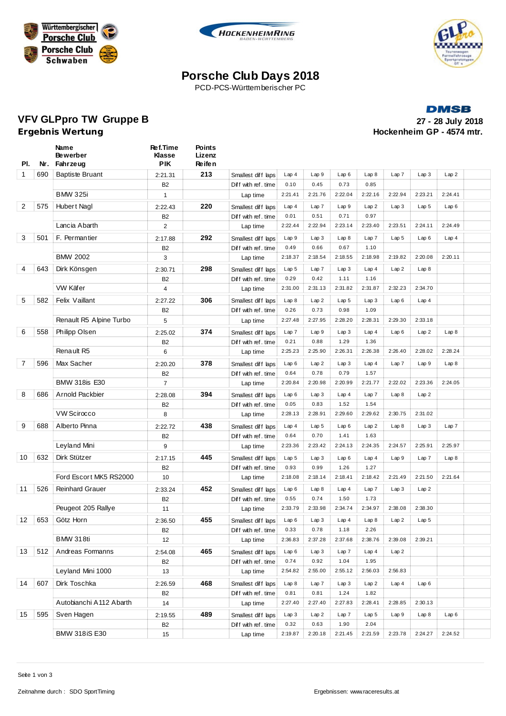





## **Porsche Club Days 2018**

PCD-PCS-Württemberischer PC

#### **DMSB**

**VFV GLPpro TW Gruppe B 27 - 28 July 2018 Hockenheim GP - 4574 mtr.** 

| PI.            | Nr. | Name<br><b>Bewerber</b><br>Fahrzeug | Ref.Time<br><b>Klasse</b><br><b>PIK</b> | Points<br>Lizenz<br>Re ife n |                     |                  |                  |                  |                  |                  |                  |         |  |
|----------------|-----|-------------------------------------|-----------------------------------------|------------------------------|---------------------|------------------|------------------|------------------|------------------|------------------|------------------|---------|--|
| $\mathbf{1}$   | 690 | <b>Baptiste Bruant</b>              | 2:21.31                                 | 213                          | Smallest diff laps  | Lap4             | Lap 9            | Lap6             | Lap8             | Lap 7            | Lap3             | Lap2    |  |
|                |     |                                     | B <sub>2</sub>                          |                              | Diff with ref. time | 0.10             | 0.45             | 0.73             | 0.85             |                  |                  |         |  |
|                |     | <b>BMW 325i</b>                     | $\mathbf{1}$                            |                              | Lap time            | 2:21.41          | 2:21.76          | 2:22.04          | 2:22.16          | 2:22.94          | 2:23.21          | 2:24.41 |  |
| $\overline{2}$ | 575 | Hubert Nagl                         | 2:22.43                                 | 220                          | Smallest diff laps  | Lap4             | Lap 7            | Lap 9            | Lap2             | Lap3             | Lap 5            | Lap6    |  |
|                |     |                                     | B2                                      |                              | Diff with ref. time | 0.01             | 0.51             | 0.71             | 0.97             |                  |                  |         |  |
|                |     | Lancia Abarth                       | $\overline{2}$                          |                              | Lap time            | 2:22.44          | 2:22.94          | 2:23.14          | 2:23.40          | 2:23.51          | 2:24.11          | 2:24.49 |  |
| 3              | 501 | F. Permantier                       | 2:17.88                                 | 292                          | Smallest diff laps  | Lap 9            | Lap3             | Lap8             | Lap 7            | Lap <sub>5</sub> | Lap6             | Lap4    |  |
|                |     |                                     | B <sub>2</sub>                          |                              | Diff with ref. time | 0.49             | 0.66             | 0.67             | 1.10             |                  |                  |         |  |
|                |     | <b>BMW 2002</b>                     | 3                                       |                              | Lap time            | 2:18.37          | 2:18.54          | 2:18.55          | 2:18.98          | 2:19.82          | 2:20.08          | 2:20.11 |  |
| 4              | 643 | Dirk Könsgen                        | 2:30.71                                 | 298                          | Smallest diff laps  | Lap <sub>5</sub> | Lap 7            | Lap3             | Lap4             | Lap2             | Lap8             |         |  |
|                |     |                                     | B <sub>2</sub>                          |                              | Diff with ref. time | 0.29             | 0.42             | 1.11             | 1.16             |                  |                  |         |  |
|                |     | VW Käfer                            | 4                                       |                              | Lap time            | 2:31.00          | 2:31.13          | 2:31.82          | 2:31.87          | 2:32.23          | 2:34.70          |         |  |
| 5              | 582 | Felix Vaillant                      | 2:27.22                                 | 306                          | Smallest diff laps  | Lap8             | Lap2             | Lap <sub>5</sub> | Lap3             | Lap6             | Lap4             |         |  |
|                |     |                                     | <b>B2</b>                               |                              | Diff with ref. time | 0.26             | 0.73             | 0.98             | 1.09             |                  |                  |         |  |
|                |     | Renault R5 Alpine Turbo             | 5                                       |                              | Lap time            | 2:27.48          | 2:27.95          | 2:28.20          | 2:28.31          | 2:29.30          | 2:33.18          |         |  |
| 6              | 558 | Philipp Olsen                       | 2:25.02                                 | 374                          | Smallest diff laps  | Lap7             | Lap9             | Lap3             | Lap4             | Lap6             | Lap2             | Lap8    |  |
|                |     |                                     | B <sub>2</sub>                          |                              | Diff with ref. time | 0.21             | 0.88             | 1.29             | 1.36             |                  |                  |         |  |
|                |     | Renault R5                          | 6                                       |                              | Lap time            | 2:25.23          | 2:25.90          | 2:26.31          | 2:26.38          | 2:26.40          | 2:28.02          | 2:28.24 |  |
| $\overline{7}$ | 596 | Max Sacher                          | 2:20.20                                 | 378                          | Smallest diff laps  | Lap6             | Lap2             | Lap3             | Lap4             | Lap 7            | Lap9             | Lap8    |  |
|                |     |                                     | B <sub>2</sub>                          |                              | Diff with ref. time | 0.64             | 0.78             | 0.79             | 1.57             |                  |                  |         |  |
|                |     | <b>BMW 318is E30</b>                | $\overline{7}$                          |                              | Lap time            | 2:20.84          | 2:20.98          | 2:20.99          | 2:21.77          | 2:22.02          | 2:23.36          | 2:24.05 |  |
| 8              | 686 | Arnold Packbier                     | 2:28.08                                 | 394                          | Smallest diff laps  | Lap6             | Lap3             | Lap4             | Lap 7            | Lap8             | Lap2             |         |  |
|                |     |                                     | B2                                      |                              | Diff with ref. time | 0.05             | 0.83             | 1.52             | 1.54             |                  |                  |         |  |
|                |     | <b>VW Scirocco</b>                  | 8                                       |                              | Lap time            | 2:28.13          | 2:28.91          | 2:29.60          | 2:29.62          | 2:30.75          | 2:31.02          |         |  |
| 9              | 688 | Alberto Pinna                       | 2:22.72                                 | 438                          | Smallest diff laps  | Lap4             | Lap <sub>5</sub> | Lap6             | Lap2             | Lap8             | Lap3             | Lap7    |  |
|                |     |                                     | B2                                      |                              | Diff with ref. time | 0.64             | 0.70             | 1.41             | 1.63             |                  |                  |         |  |
|                |     | Leyland Mini                        | 9                                       |                              | Lap time            | 2:23.36          | 2:23.42          | 2:24.13          | 2:24.35          | 2:24.57          | 2:25.91          | 2:25.97 |  |
| 10             | 632 | Dirk Stützer                        | 2:17.15                                 | 445                          | Smallest diff laps  | Lap <sub>5</sub> | Lap3             | Lap6             | Lap4             | Lap 9            | Lap 7            | Lap8    |  |
|                |     |                                     | B2                                      |                              | Diff with ref. time | 0.93             | 0.99             | 1.26             | 1.27             |                  |                  |         |  |
|                |     | Ford Escort MK5 RS2000              | 10                                      |                              | Lap time            | 2:18.08          | 2:18.14          | 2:18.41          | 2:18.42          | 2:21.49          | 2:21.50          | 2:21.64 |  |
| 11             | 526 | <b>Reinhard Grauer</b>              | 2:33.24                                 | 452                          | Smallest diff laps  | Lap6             | Lap8             | Lap4             | Lap 7            | Lap3             | Lap2             |         |  |
|                |     |                                     | B <sub>2</sub>                          |                              | Diff with ref. time | 0.55             | 0.74             | 1.50             | 1.73             |                  |                  |         |  |
|                |     | Peugeot 205 Rallye                  | 11                                      |                              | Lap time            | 2:33.79          | 2:33.98          | 2:34.74          | 2:34.97          | 2:38.08          | 2:38.30          |         |  |
| 12             | 653 | Götz Horn                           | 2:36.50                                 | 455                          | Smallest diff laps  | Lap6             | Lap3             | Lap4             | Lap8             | Lap2             | Lap <sub>5</sub> |         |  |
|                |     |                                     | B <sub>2</sub>                          |                              | Diff with ref. time | 0.33             | 0.78             | 1.18             | 2.26             |                  |                  |         |  |
|                |     | <b>BMW 318ti</b>                    | 12                                      |                              | Lap time            | 2:36.83          | 2:37.28          | 2:37.68          | 2:38.76          | 2:39.08          | 2:39.21          |         |  |
| 13             | 512 | Andreas Formanns                    | 2:54.08                                 | 465                          | Smallest diff laps  | Lap6             | Lap 3            | Lap 7            | Lap4             | Lap2             |                  |         |  |
|                |     |                                     | B2                                      |                              | Diff with ref. time | 0.74             | 0.92             | 1.04             | 1.95             |                  |                  |         |  |
|                |     | Leyland Mini 1000                   | 13                                      |                              | Lap time            | 2:54.82          | 2:55.00          | 2:55.12          | 2:56.03          | 2:56.83          |                  |         |  |
| 14             | 607 | Dirk Toschka                        | 2:26.59                                 | 468                          | Smallest diff laps  | Lap8             | Lap7             | Lap 3            | Lap2             | Lap4             | Lap6             |         |  |
|                |     |                                     | B2                                      |                              | Diff with ref. time | 0.81             | 0.81             | 1.24             | 1.82             |                  |                  |         |  |
|                |     | Autobianchi A112 Abarth             | 14                                      |                              | Lap time            | 2:27.40          | 2:27.40          | 2:27.83          | 2:28.41          | 2:28.85          | 2:30.13          |         |  |
| 15             | 595 | Sven Hagen                          | 2:19.55                                 | 489                          | Smallest diff laps  | Lap3             | Lap2             | Lap7             | Lap <sub>5</sub> | Lap9             | Lap 8            | Lap6    |  |
|                |     |                                     | B2                                      |                              | Diff with ref. time | 0.32             | 0.63             | 1.90             | 2.04             |                  |                  |         |  |
|                |     | <b>BMW 318iS E30</b>                | 15                                      |                              | Lap time            | 2:19.87          | 2:20.18          | 2:21.45          | 2:21.59          | 2:23.78          | 2:24.27          | 2:24.52 |  |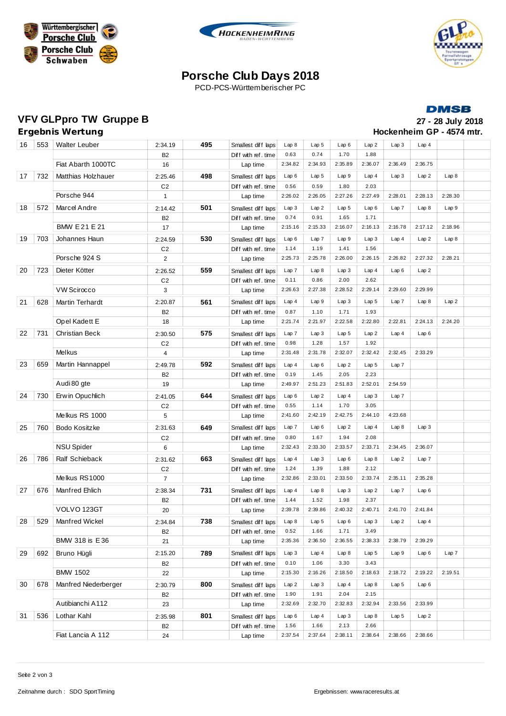





# **Porsche Club Days 2018**

PCD-PCS-Württemberischer PC

### **DMSB**

### **VFV GLPpro TW Gruppe B 27 - 28 July 2018**

# **Hockenheim GP - 4574 mtr.**

| Ergebnis Wertung |  |                           |  |  |  |  |  |  |  |
|------------------|--|---------------------------|--|--|--|--|--|--|--|
|                  |  | $AC$ $EF2$ $Moltz1$ cuber |  |  |  |  |  |  |  |

| 16 | 553 | <b>Walter Leuber</b>   | 2:34.19                   | 495 | Smallest diff laps                       | Lap8    | Lap <sub>5</sub> | Lap6                     | Lap2                     | Lap3             | Lap4    |         |  |
|----|-----|------------------------|---------------------------|-----|------------------------------------------|---------|------------------|--------------------------|--------------------------|------------------|---------|---------|--|
|    |     |                        | <b>B2</b>                 |     | Diff with ref.time                       | 0.63    | 0.74             | 1.70                     | 1.88                     |                  |         |         |  |
|    |     | Fiat Abarth 1000TC     | 16                        |     | Lap time                                 | 2:34.82 | 2:34.93          | 2:35.89                  | 2:36.07                  | 2:36.49          | 2:36.75 |         |  |
| 17 | 732 | Matthias Holzhauer     | 2:25.46                   | 498 | Smallest diff laps                       | Lap6    | Lap <sub>5</sub> | Lap9                     | Lap4                     | Lap3             | Lap2    | Lap8    |  |
|    |     |                        | C <sub>2</sub>            |     | Diff with ref.time                       | 0.56    | 0.59             | 1.80                     | 2.03                     |                  |         |         |  |
|    |     | Porsche 944            | $\mathbf{1}$              |     | Lap time                                 | 2:26.02 | 2:26.05          | 2:27.26                  | 2:27.49                  | 2:28.01          | 2:28.13 | 2:28.30 |  |
| 18 | 572 | Marcel Andre           | 2:14.42                   | 501 | Smallest diff laps                       | Lap3    | Lap2             | Lap <sub>5</sub>         | Lap6                     | Lap7             | Lap8    | Lap9    |  |
|    |     |                        | B <sub>2</sub>            |     | Diff with ref. time                      | 0.74    | 0.91             | 1.65                     | 1.71                     |                  |         |         |  |
|    |     | <b>BMW E21 E21</b>     | 17                        |     | Lap time                                 | 2:15.16 | 2:15.33          | 2:16.07                  | 2:16.13                  | 2:16.78          | 2:17.12 | 2:18.96 |  |
| 19 | 703 | Johannes Haun          | 2:24.59                   | 530 | Smallest diff laps                       | Lap6    | Lap 7            | Lap 9                    | Lap3                     | Lap4             | Lap2    | Lap8    |  |
|    |     |                        | C <sub>2</sub>            |     | Diff with ref. time                      | 1.14    | 1.19             | 1.41                     | 1.56                     |                  |         |         |  |
|    |     | Porsche 924 S          | $\mathbf{2}$              |     | Lap time                                 | 2:25.73 | 2:25.78          | 2:26.00                  | 2:26.15                  | 2:26.82          | 2:27.32 | 2:28.21 |  |
| 20 | 723 | Dieter Kötter          |                           | 559 |                                          | Lap7    | Lap8             | Lap3                     | Lap4                     | Lap6             | Lap2    |         |  |
|    |     |                        | 2:26.52<br>C <sub>2</sub> |     | Smallest diff laps<br>Diff with ref.time | 0.11    | 0.86             | 2.00                     | 2.62                     |                  |         |         |  |
|    |     | <b>VW Scirocco</b>     | 3                         |     | Lap time                                 | 2:26.63 | 2:27.38          | 2:28.52                  | 2:29.14                  | 2:29.60          | 2:29.99 |         |  |
|    |     |                        |                           |     |                                          | Lap4    | Lap 9            |                          |                          | Lap 7            |         |         |  |
| 21 | 628 | <b>Martin Terhardt</b> | 2:20.87                   | 561 | Smallest diff laps                       | 0.87    | 1.10             | Lap <sub>3</sub><br>1.71 | Lap <sub>5</sub><br>1.93 |                  | Lap8    | Lap2    |  |
|    |     | Opel Kadett E          | B <sub>2</sub><br>18      |     | Diff with ref.time<br>Lap time           | 2:21.74 | 2:21.97          | 2:22.58                  | 2:22.80                  | 2:22.81          | 2:24.13 | 2:24.20 |  |
|    |     |                        |                           |     |                                          |         |                  |                          |                          |                  |         |         |  |
| 22 | 731 | <b>Christian Beck</b>  | 2:30.50                   | 575 | Smallest diff laps                       | Lap 7   | Lap3             | Lap 5                    | Lap2                     | Lap4             | Lap6    |         |  |
|    |     | Melkus                 | C <sub>2</sub>            |     | Diff with ref.time                       | 0.98    | 1.28             | 1.57                     | 1.92                     |                  |         |         |  |
|    |     |                        | 4                         |     | Lap time                                 | 2:31.48 | 2:31.78          | 2:32.07                  | 2:32.42                  | 2:32.45          | 2:33.29 |         |  |
| 23 | 659 | Martin Hannappel       | 2:49.78                   | 592 | Smallest diff laps                       | Lap4    | Lap6             | Lap2                     | Lap <sub>5</sub>         | Lap 7            |         |         |  |
|    |     |                        | B <sub>2</sub>            |     | Diff with ref. time                      | 0.19    | 1.45             | 2.05                     | 2.23                     |                  |         |         |  |
|    |     | Audi 80 gte            | 19                        |     | Lap time                                 | 2:49.97 | 2:51.23          | 2:51.83                  | 2:52.01                  | 2:54.59          |         |         |  |
| 24 | 730 | Erwin Opuchlich        | 2:41.05                   | 644 | Smallest diff laps                       | Lap6    | Lap2             | Lap4                     | Lap 3                    | Lap 7            |         |         |  |
|    |     |                        | C <sub>2</sub>            |     | Diff with ref. time                      | 0.55    | 1.14             | 1.70                     | 3.05                     |                  |         |         |  |
|    |     | Melkus RS 1000         | 5                         |     | Lap time                                 | 2:41.60 | 2:42.19          | 2:42.75                  | 2:44.10                  | 4:23.68          |         |         |  |
| 25 | 760 | Bodo Kositzke          | 2:31.63                   | 649 | Smallest diff laps                       | Lap 7   | Lap6             | Lap2                     | Lap4                     | Lap 8            | Lap3    |         |  |
|    |     |                        | C <sub>2</sub>            |     | Diff with ref. time                      | 0.80    | 1.67             | 1.94                     | 2.08                     |                  |         |         |  |
|    |     | NSU Spider             | 6                         |     | Lap time                                 | 2:32.43 | 2:33.30          | 2:33.57                  | 2:33.71                  | 2:34.45          | 2:36.07 |         |  |
| 26 | 786 | Ralf Schieback         | 2:31.62                   | 663 | Smallest diff laps                       | Lap4    | Lap3             | Lap6                     | Lap8                     | Lap2             | Lap7    |         |  |
|    |     |                        | C <sub>2</sub>            |     | Diff with ref.time                       | 1.24    | 1.39             | 1.88                     | 2.12                     |                  |         |         |  |
|    |     | Melkus RS1000          | $\overline{7}$            |     | Lap time                                 | 2:32.86 | 2:33.01          | 2:33.50                  | 2:33.74                  | 2:35.11          | 2:35.28 |         |  |
| 27 | 676 | Manfred Ehlich         | 2:38.34                   | 731 | Smallest diff laps                       | Lap4    | Lap 8            | Lap 3                    | Lap2                     | Lap 7            | Lap6    |         |  |
|    |     |                        | B <sub>2</sub>            |     | Diff with ref. time                      | 1.44    | 1.52             | 1.98                     | 2.37                     |                  |         |         |  |
|    |     | VOLVO 123GT            | 20                        |     | Lap time                                 | 2:39.78 | 2:39.86          | 2:40.32                  | 2:40.71                  | 2:41.70          | 2:41.84 |         |  |
| 28 | 529 | Manfred Wickel         | 2:34.84                   | 738 | Smallest diff laps                       | Lap 8   | Lap 5            | Lap 6                    | Lap3                     | Lap2             | Lap4    |         |  |
|    |     |                        | B <sub>2</sub>            |     | Diff with ref. time                      | 0.52    | 1.66             | 1.71                     | 3.49                     |                  |         |         |  |
|    |     | BMW 318 is E36         | 21                        |     | Lap time                                 | 2:35.36 | 2:36.50          | 2:36.55                  | 2:38.33                  | 2:38.79          | 2:39.29 |         |  |
| 29 | 692 | Bruno Hügli            | 2:15.20                   | 789 | Smallest diff laps                       | Lap 3   | Lap4             | Lap 8                    | Lap <sub>5</sub>         | Lap 9            | Lap6    | Lap 7   |  |
|    |     |                        | B <sub>2</sub>            |     | Diff with ref. time                      | 0.10    | 1.06             | 3.30                     | 3.43                     |                  |         |         |  |
|    |     | <b>BMW 1502</b>        | 22                        |     | Lap time                                 | 2:15.30 | 2:16.26          | 2:18.50                  | 2:18.63                  | 2:18.72          | 2:19.22 | 2:19.51 |  |
| 30 | 678 | Manfred Niederberger   | 2:30.79                   | 800 | Smallest diff laps                       | Lap 2   | Lap3             | Lap4                     | Lap8                     | Lap 5            | Lap6    |         |  |
|    |     |                        | <b>B2</b>                 |     | Diff with ref. time                      | 1.90    | 1.91             | 2.04                     | 2.15                     |                  |         |         |  |
|    |     | Autibianchi A112       | 23                        |     | Lap time                                 | 2:32.69 | 2:32.70          | 2:32.83                  | 2:32.94                  | 2:33.56          | 2:33.99 |         |  |
| 31 | 536 | Lothar Kahl            | 2:35.98                   | 801 | Smallest diff laps                       | Lap6    | Lap4             | Lap3                     | Lap 8                    | Lap <sub>5</sub> | Lap2    |         |  |
|    |     |                        | B <sub>2</sub>            |     | Diff with ref. time                      | 1.56    | 1.66             | 2.13                     | 2.66                     |                  |         |         |  |
|    |     | Fiat Lancia A 112      | 24                        |     | Lap time                                 | 2:37.54 | 2:37.64          | 2:38.11                  | 2:38.64                  | 2:38.66          | 2:38.66 |         |  |
|    |     |                        |                           |     |                                          |         |                  |                          |                          |                  |         |         |  |